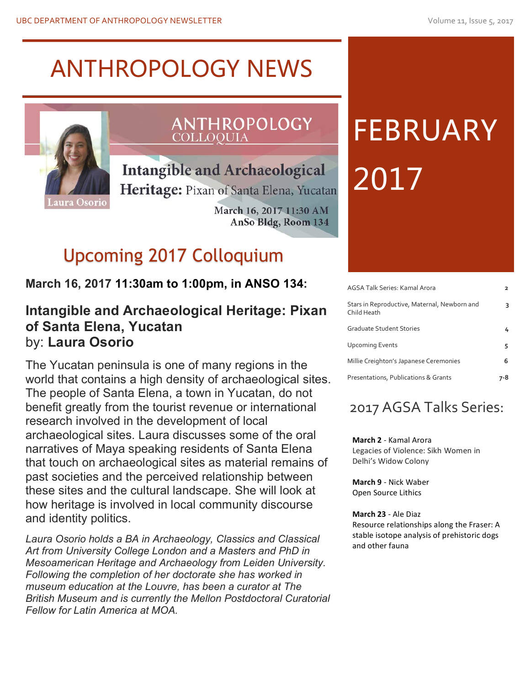## ANTHROPOLOGY NEWS



## ANTHROPOLOGY **COLLOQUIA**

**Intangible and Archaeological** 

Heritage: Pixan of Santa Elena, Yucatan

March 16, 2017 11:30 AM AnSo Bldg, Room 134

## Upcoming 2017 Colloquium

## **March 16, 2017 11:30am to 1:00pm, in ANSO 134:**

### **Intangible and Archaeological Heritage: Pixan of Santa Elena, Yucatan** by: **Laura Osorio**

The Yucatan peninsula is one of many regions in the world that contains a high density of archaeological sites. The people of Santa Elena, a town in Yucatan, do not benefit greatly from the tourist revenue or international research involved in the development of local archaeological sites. Laura discusses some of the oral narratives of Maya speaking residents of Santa Elena that touch on archaeological sites as material remains of past societies and the perceived relationship between these sites and the cultural landscape. She will look at how heritage is involved in local community discourse and identity politics.

*Laura Osorio holds a BA in Archaeology, Classics and Classical Art from University College London and a Masters and PhD in Mesoamerican Heritage and Archaeology from Leiden University. Following the completion of her doctorate she has worked in museum education at the Louvre, has been a curator at The British Museum and is currently the Mellon Postdoctoral Curatorial Fellow for Latin America at MOA.*

## FEBRUARY 2017

| AGSA Talk Series: Kamal Arora                               |   |
|-------------------------------------------------------------|---|
| Stars in Reproductive, Maternal, Newborn and<br>Child Heath | 3 |
| Graduate Student Stories                                    |   |
| <b>Upcoming Events</b>                                      | 5 |
| Millie Creighton's Japanese Ceremonies                      | 6 |
| Presentations, Publications & Grants                        |   |

## 2017 AGSA Talks Series:

**March 2** - Kamal Arora Legacies of Violence: Sikh Women in Delhi's Widow Colony

**March 9 - Nick Waber** Open Source Lithics

**March 23** - Ale Diaz Resource relationships along the Fraser: A stable isotope analysis of prehistoric dogs and other fauna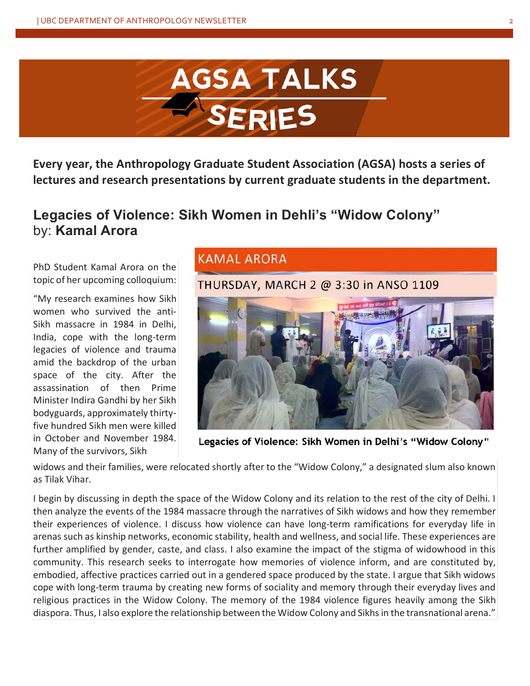

**Every year, the Anthropology Graduate Student Association (AGSA) hosts a series of lectures and research presentations by current graduate students in the department.** 

## **Legacies of Violence: Sikh Women in Dehli's "Widow Colony"** by: **Kamal Arora**

PhD Student Kamal Arora on the topic of her upcoming colloquium:

"My research examines how Sikh women who survived the anti-Sikh massacre in 1984 in Delhi, India, cope with the long-term legacies of violence and trauma amid the backdrop of the urban space of the city. After the assassination of then Prime Minister Indira Gandhi by her Sikh bodyguards, approximately thirtyfive hundred Sikh men were killed in October and November 1984. Many of the survivors, Sikh

### **KAMAL ARORA**

THURSDAY, MARCH 2 @ 3:30 in ANSO 1109



Legacies of Violence: Sikh Women in Delhi's "Widow Colony"

widows and their families, were relocated shortly after to the "Widow Colony," a designated slum also known as Tilak Vihar.

I begin by discussing in depth the space of the Widow Colony and its relation to the rest of the city of Delhi. I then analyze the events of the 1984 massacre through the narratives of Sikh widows and how they remember their experiences of violence. I discuss how violence can have long-term ramifications for everyday life in arenas such as kinship networks, economic stability, health and wellness, and social life. These experiences are further amplified by gender, caste, and class. I also examine the impact of the stigma of widowhood in this community. This research seeks to interrogate how memories of violence inform, and are constituted by, embodied, affective practices carried out in a gendered space produced by the state. I argue that Sikh widows cope with long-term trauma by creating new forms of sociality and memory through their everyday lives and religious practices in the Widow Colony. The memory of the 1984 violence figures heavily among the Sikh diaspora. Thus, I also explore the relationship between the Widow Colony and Sikhs in the transnational arena."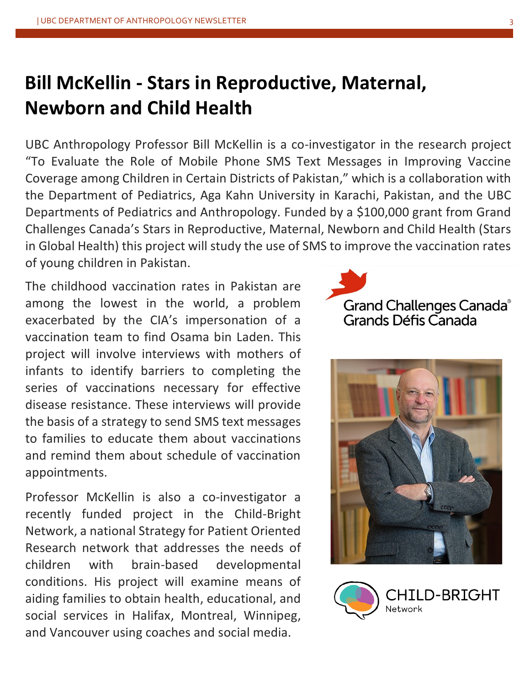## **Bill McKellin - Stars in Reproductive, Maternal, Newborn and Child Health**

UBC Anthropology Professor Bill McKellin is a co-investigator in the research project "To Evaluate the Role of Mobile Phone SMS Text Messages in Improving Vaccine Coverage among Children in Certain Districts of Pakistan," which is a collaboration with the Department of Pediatrics, Aga Kahn University in Karachi, Pakistan, and the UBC Departments of Pediatrics and Anthropology. Funded by a \$100,000 grant from Grand Challenges Canada's Stars in Reproductive, Maternal, Newborn and Child Health (Stars in Global Health) this project will study the use of SMS to improve the vaccination rates of young children in Pakistan.

The childhood vaccination rates in Pakistan are among the lowest in the world, a problem exacerbated by the CIA's impersonation of a vaccination team to find Osama bin Laden. This project will involve interviews with mothers of infants to identify barriers to completing the series of vaccinations necessary for effective disease resistance. These interviews will provide the basis of a strategy to send SMS text messages to families to educate them about vaccinations and remind them about schedule of vaccination appointments.

Professor McKellin is also a co-investigator a recently funded project in the Child-Bright Network, a national Strategy for Patient Oriented Research network that addresses the needs of children with brain-based developmental conditions. His project will examine means of aiding families to obtain health, educational, and social services in Halifax, Montreal, Winnipeg, and Vancouver using coaches and social media.

## Grand Challenges Canada® Grands Défis Canada



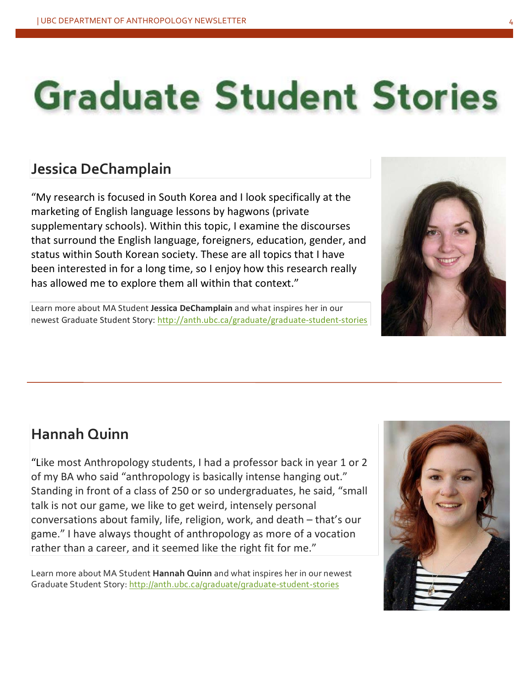# **Graduate Student Stories**

## **Jessica DeChamplain**

"My research is focused in South Korea and I look specifically at the marketing of English language lessons by hagwons (private supplementary schools). Within this topic, I examine the discourses that surround the English language, foreigners, education, gender, and status within South Korean society. These are all topics that I have been interested in for a long time, so I enjoy how this research really has allowed me to explore them all within that context."

Learn more about MA Student Jessica DeChamplain and what inspires her in our newest Graduate Student Story: http://anth.ubc.ca/graduate/graduate-student-stories



## **Hannah Quinn**

"Like most Anthropology students, I had a professor back in year 1 or 2 of my BA who said "anthropology is basically intense hanging out." Standing in front of a class of 250 or so undergraduates, he said, "small talk is not our game, we like to get weird, intensely personal conversations about family, life, religion, work, and death – that's our game." I have always thought of anthropology as more of a vocation rather than a career, and it seemed like the right fit for me."

Learn more about MA Student **Hannah Quinn** and what inspires her in our newest Graduate Student Story: http://anth.ubc.ca/graduate/graduate-student-stories

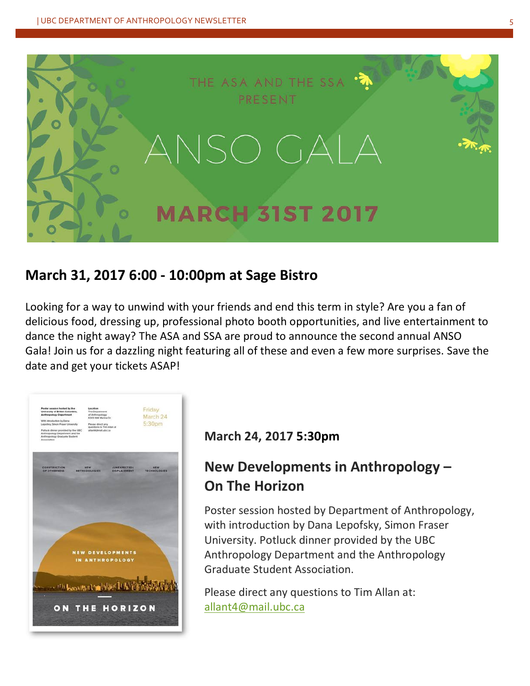

## **March 31, 2017 6:00 - 10:00pm at Sage Bistro**

Looking for a way to unwind with your friends and end this term in style? Are you a fan of delicious food, dressing up, professional photo booth opportunities, and live entertainment to dance the night away? The ASA and SSA are proud to announce the second annual ANSO Gala! Join us for a dazzling night featuring all of these and even a few more surprises. Save the date and get your tickets ASAP!



#### **March 24, 2017 5:30pm**

## **New Developments in Anthropology -On The Horizon**

Poster session hosted by Department of Anthropology, with introduction by Dana Lepofsky, Simon Fraser University. Potluck dinner provided by the UBC Anthropology Department and the Anthropology Graduate Student Association.

Please direct any questions to Tim Allan at: allant4@mail.ubc.ca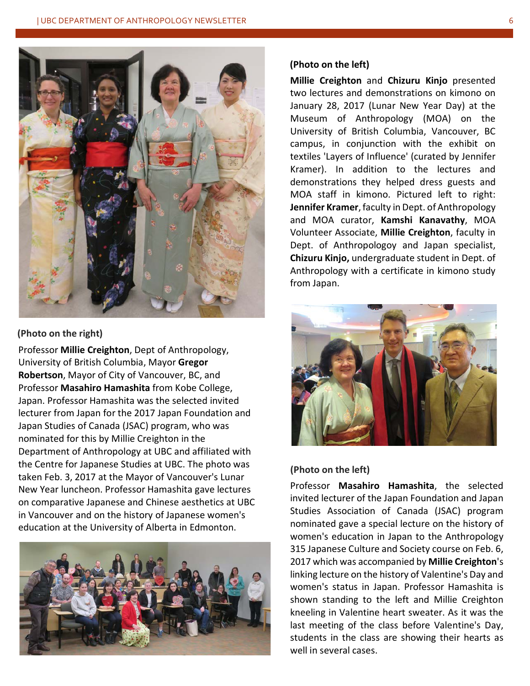

#### **(Photo on the right)**

Professor **Millie Creighton**, Dept of Anthropology, University of British Columbia, Mayor **Gregor Robertson**, Mayor of City of Vancouver, BC, and Professor **Masahiro Hamashita** from Kobe College, Japan. Professor Hamashita was the selected invited lecturer from Japan for the 2017 Japan Foundation and Japan Studies of Canada (JSAC) program, who was nominated for this by Millie Creighton in the Department of Anthropology at UBC and affiliated with the Centre for Japanese Studies at UBC. The photo was taken Feb. 3, 2017 at the Mayor of Vancouver's Lunar New Year luncheon. Professor Hamashita gave lectures on comparative Japanese and Chinese aesthetics at UBC in Vancouver and on the history of Japanese women's education at the University of Alberta in Edmonton.



#### **(Photo on the left)**

**Millie Creighton** and **Chizuru Kinjo** presented two lectures and demonstrations on kimono on January 28, 2017 (Lunar New Year Day) at the Museum of Anthropology (MOA) on the University of British Columbia, Vancouver, BC campus, in conjunction with the exhibit on textiles 'Layers of Influence' (curated by Jennifer Kramer). In addition to the lectures and demonstrations they helped dress guests and MOA staff in kimono. Pictured left to right: **Jennifer Kramer**, faculty in Dept. of Anthropology and MOA curator, Kamshi Kanavathy, MOA Volunteer Associate, **Millie Creighton**, faculty in Dept. of Anthropologoy and Japan specialist, **Chizuru Kinjo,** undergraduate student in Dept. of Anthropology with a certificate in kimono study from Japan.



#### **(Photo on the left)**

Professor **Masahiro Hamashita**, the selected invited lecturer of the Japan Foundation and Japan Studies Association of Canada (JSAC) program nominated gave a special lecture on the history of women's education in Japan to the Anthropology 315 Japanese Culture and Society course on Feb. 6, 2017 which was accompanied by **Millie Creighton**'s linking lecture on the history of Valentine's Day and women's status in Japan. Professor Hamashita is shown standing to the left and Millie Creighton kneeling in Valentine heart sweater. As it was the last meeting of the class before Valentine's Day, students in the class are showing their hearts as well in several cases.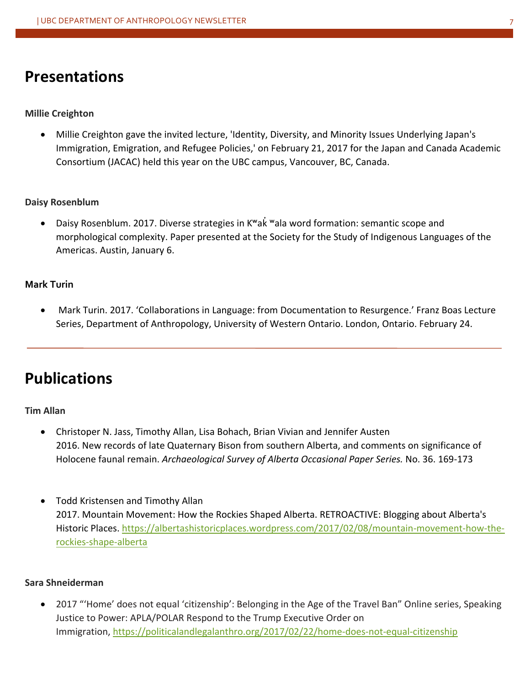## **Presentations**

#### **Millie Creighton**

Millie Creighton gave the invited lecture, 'Identity, Diversity, and Minority Issues Underlying Japan's Immigration, Emigration, and Refugee Policies,' on February 21, 2017 for the Japan and Canada Academic Consortium (JACAC) held this year on the UBC campus, Vancouver, BC, Canada.

#### **Daisy Rosenblum**

Daisy Rosenblum. 2017. Diverse strategies in K<sup>w</sup>ak <sup>w</sup>ala word formation: semantic scope and morphological complexity. Paper presented at the Society for the Study of Indigenous Languages of the Americas. Austin, January 6.

#### **Mark Turin**

Mark Turin. 2017. 'Collaborations in Language: from Documentation to Resurgence.' Franz Boas Lecture Series, Department of Anthropology, University of Western Ontario. London, Ontario. February 24.

## **Publications**

#### **Tim Allan**

- Christoper N. Jass, Timothy Allan, Lisa Bohach, Brian Vivian and Jennifer Austen 2016. New records of late Quaternary Bison from southern Alberta, and comments on significance of Holocene faunal remain. Archaeological Survey of Alberta Occasional Paper Series. No. 36. 169-173
- Todd Kristensen and Timothy Allan 2017. Mountain Movement: How the Rockies Shaped Alberta. RETROACTIVE: Blogging about Alberta's Historic Places. https://albertashistoricplaces.wordpress.com/2017/02/08/mountain-movement-how-therockies-shape-alberta

#### **Sara Shneiderman**

2017 "'Home' does not equal 'citizenship': Belonging in the Age of the Travel Ban" Online series, Speaking Justice to Power: APLA/POLAR Respond to the Trump Executive Order on Immigration, https://politicalandlegalanthro.org/2017/02/22/home-does-not-equal-citizenship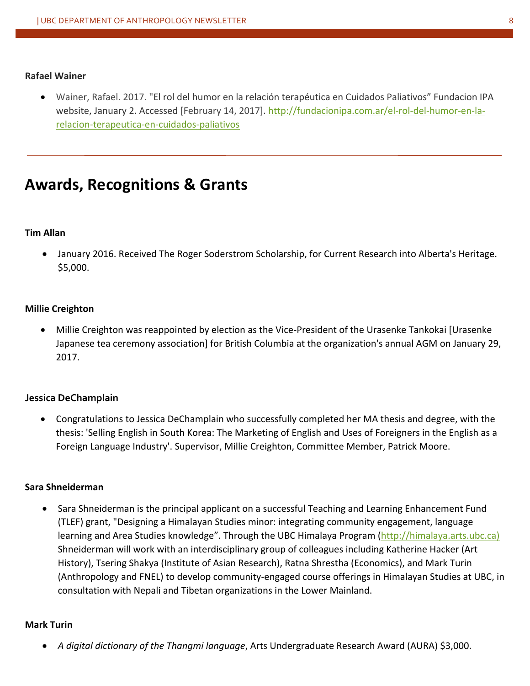#### **Rafael Wainer**

• Wainer, Rafael. 2017. "El rol del humor en la relación terapéutica en Cuidados Paliativos" Fundacion IPA website, January 2. Accessed [February 14, 2017]. http://fundacionipa.com.ar/el-rol-del-humor-en-larelacion-terapeutica-en-cuidados-paliativos

## **Awards, Recognitions & Grants**

#### **Tim Allan**

• January 2016. Received The Roger Soderstrom Scholarship, for Current Research into Alberta's Heritage. \$5,000.

#### **Millie Creighton**

Millie Creighton was reappointed by election as the Vice-President of the Urasenke Tankokai [Urasenke Japanese tea ceremony association] for British Columbia at the organization's annual AGM on January 29, 2017.

#### **Jessica DeChamplain**

Congratulations to Jessica DeChamplain who successfully completed her MA thesis and degree, with the thesis: 'Selling English in South Korea: The Marketing of English and Uses of Foreigners in the English as a Foreign Language Industry'. Supervisor, Millie Creighton, Committee Member, Patrick Moore.

#### **Sara Shneiderman**

Sara Shneiderman is the principal applicant on a successful Teaching and Learning Enhancement Fund (TLEF) grant, "Designing a Himalayan Studies minor: integrating community engagement, language learning and Area Studies knowledge". Through the UBC Himalaya Program (http://himalaya.arts.ubc.ca) Shneiderman will work with an interdisciplinary group of colleagues including Katherine Hacker (Art History), Tsering Shakya (Institute of Asian Research), Ratna Shrestha (Economics), and Mark Turin (Anthropology and FNEL) to develop community-engaged course offerings in Himalayan Studies at UBC, in consultation with Nepali and Tibetan organizations in the Lower Mainland.

#### **Mark Turin**

• A *digital dictionary of the Thangmi language*, Arts Undergraduate Research Award (AURA) \$3,000.